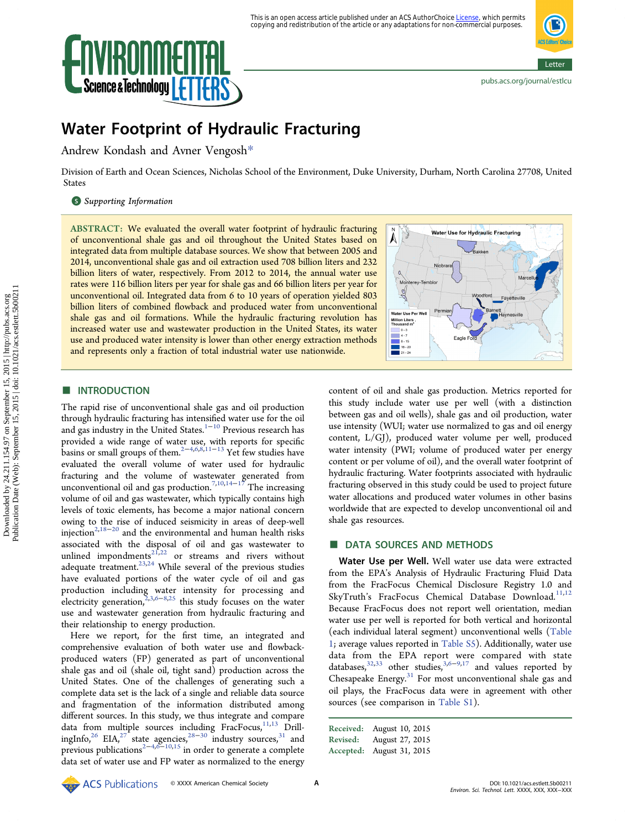

# Water Footprint of Hydraulic Fracturing

Andrew Kondash and Avner Vengosh[\\*](#page-3-0)

Division of Earth and Ocean Sciences, Nicholas School of the Environment, Duke University, Durham, North Carolina 27708, United States

## **S** [Supporting Information](#page-3-0)

ABSTRACT: We evaluated the overall water footprint of hydraulic fracturing of unconventional shale gas and oil throughout the United States based on integrated data from multiple database sources. We show that between 2005 and 2014, unconventional shale gas and oil extraction used 708 billion liters and 232 billion liters of water, respectively. From 2012 to 2014, the annual water use rates were 116 billion liters per year for shale gas and 66 billion liters per year for unconventional oil. Integrated data from 6 to 10 years of operation yielded 803 billion liters of combined flowback and produced water from unconventional shale gas and oil formations. While the hydraulic fracturing revolution has increased water use and wastewater production in the United States, its water use and produced water intensity is lower than other energy extraction methods and represents only a fraction of total industrial water use nationwide.



# **ENTRODUCTION**

The rapid rise of unconventional shale gas and oil production through hydraulic fracturing has intensified water use for the oil and gas industry in the United States.<sup>[1](#page-3-0)-[10](#page-3-0)</sup> Previous research has provided a wide range of water use, with reports for specific basins or small groups of them.[2](#page-3-0)−[4,6,8,11](#page-3-0)−[13](#page-3-0) Yet few studies have evaluated the overall volume of water used for hydraulic fracturing and the volume of wastewater generated from unconventional oil and gas production.<sup>[7,10](#page-3-0),[14](#page-3-0)–[17](#page-4-0)</sup> The increasing volume of oil and gas wastewater, which typically contains high levels of toxic elements, has become a major national concern owing to the rise of induced seismicity in areas of deep-well injection<sup>2[,18](#page-4-0)−[20](#page-4-0)</sup> and the environmental and human health risks associated with the disposal of oil and gas wastewater to unlined impondments<sup>[21](#page-4-0),[22](#page-4-0)</sup> or streams and rivers without adequate treatment.<sup>[23,24](#page-4-0)</sup> While several of the previous studies have evaluated portions of the water cycle of oil and gas production including water intensity for processing and electricity generation,[2](#page-3-0),[3](#page-3-0),[6](#page-3-0)−[8](#page-3-0)[,25](#page-4-0) this study focuses on the water use and wastewater generation from hydraulic fracturing and their relationship to energy production.

Here we report, for the first time, an integrated and comprehensive evaluation of both water use and flowbackproduced waters (FP) generated as part of unconventional shale gas and oil (shale oil, tight sand) production across the United States. One of the challenges of generating such a complete data set is the lack of a single and reliable data source and fragmentation of the information distributed among different sources. In this study, we thus integrate and compare data from multiple sources including FracFocus,<sup>[11,13](#page-3-0)</sup> Drill-ingInfo,<sup>[26](#page-4-0)</sup> EIA,<sup>[27](#page-4-0)</sup> state agencies,<sup>[28](#page-4-0)–[30](#page-4-0)</sup> industry sources,<sup>[31](#page-4-0)</sup> and previous publications<sup>[2](#page-3-0)−[4,6](#page-3-0)−[10,](#page-3-0)[15](#page-4-0)</sup> in order to generate a complete data set of water use and FP water as normalized to the energy

content of oil and shale gas production. Metrics reported for this study include water use per well (with a distinction between gas and oil wells), shale gas and oil production, water use intensity (WUI; water use normalized to gas and oil energy content, L/GJ), produced water volume per well, produced water intensity (PWI; volume of produced water per energy content or per volume of oil), and the overall water footprint of hydraulic fracturing. Water footprints associated with hydraulic fracturing observed in this study could be used to project future water allocations and produced water volumes in other basins worldwide that are expected to develop unconventional oil and shale gas resources.

# ■ DATA SOURCES AND METHODS

Water Use per Well. Well water use data were extracted from the EPA's Analysis of Hydraulic Fracturing Fluid Data from the FracFocus Chemical Disclosure Registry 1.0 and SkyTruth's FracFocus Chemical Database Download.<sup>[11,12](#page-3-0)</sup> Because FracFocus does not report well orientation, median water use per well is reported for both vertical and horizontal (each individual lateral segment) unconventional wells ([Table](#page-1-0) [1](#page-1-0); average values reported in [Table S5](http://pubs.acs.org/doi/suppl/10.1021/acs.estlett.5b00211/suppl_file/ez5b00211_si_001.pdf)). Additionally, water use data from the EPA report were compared with state databases,<sup>[32,33](#page-4-0)</sup> other studies,<sup>[3,6](#page-3-0)−[9](#page-3-0),[17](#page-4-0)</sup> and values reported by Chesapeake Energy. $31$  For most unconventional shale gas and oil plays, the FracFocus data were in agreement with other sources (see comparison in [Table S1](http://pubs.acs.org/doi/suppl/10.1021/acs.estlett.5b00211/suppl_file/ez5b00211_si_001.pdf)).

| Received: | August 10, 2015 |
|-----------|-----------------|
| Revised:  | August 27, 2015 |
| Accepted: | August 31, 2015 |

**ACS** Publications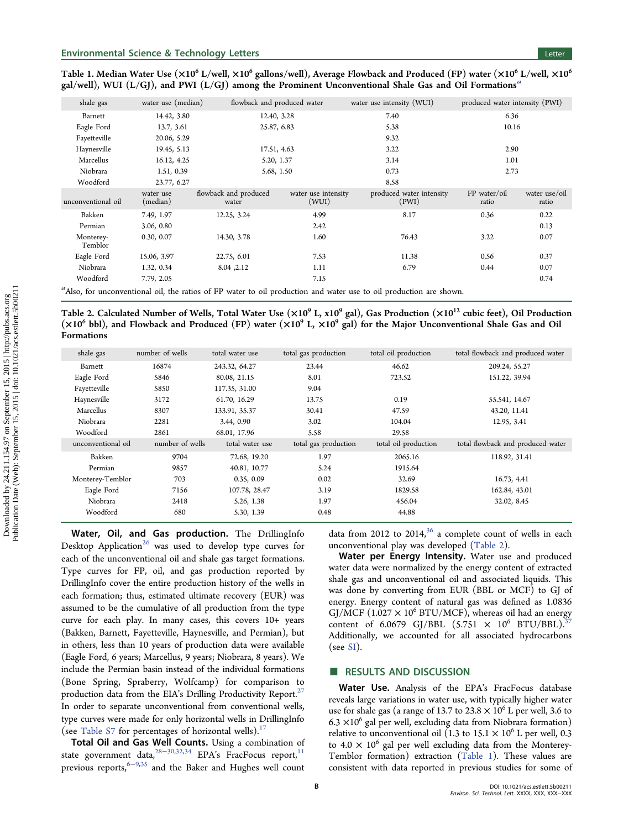<span id="page-1-0"></span>

| Table 1. Median Water Use ( $\times 10^6$ L/well, $\times 10^6$ gallons/well), Average Flowback and Produced (FP) water ( $\times 10^6$ L/well, $\times 10^6$ |
|---------------------------------------------------------------------------------------------------------------------------------------------------------------|
| gal/well), WUI (L/GJ), and PWI (L/GJ) among the Prominent Unconventional Shale Gas and Oil Formations <sup>a</sup>                                            |

| shale gas            | water use (median)    | flowback and produced water    |                              | water use intensity (WUI)         | produced water intensity (PWI) |                        |
|----------------------|-----------------------|--------------------------------|------------------------------|-----------------------------------|--------------------------------|------------------------|
| Barnett              | 14.42, 3.80           | 12.40, 3.28                    |                              | 7.40                              | 6.36                           |                        |
| Eagle Ford           | 13.7, 3.61            | 25.87, 6.83                    |                              | 5.38                              | 10.16                          |                        |
| Fayetteville         | 20.06, 5.29           |                                |                              | 9.32                              |                                |                        |
| Haynesville          | 19.45, 5.13           | 17.51, 4.63                    |                              | 3.22                              | 2.90                           |                        |
| Marcellus            | 16.12, 4.25           | 5.20, 1.37                     |                              | 3.14                              | 1.01                           |                        |
| Niobrara             | 1.51, 0.39            | 5.68, 1.50                     |                              | 0.73                              | 2.73                           |                        |
| Woodford             | 23.77, 6.27           |                                |                              | 8.58                              |                                |                        |
| unconventional oil   | water use<br>(median) | flowback and produced<br>water | water use intensity<br>(WUI) | produced water intensity<br>(PWI) | FP water/oil<br>ratio          | water use/oil<br>ratio |
| Bakken               | 7.49, 1.97            | 12.25, 3.24                    | 4.99                         | 8.17                              | 0.36                           | 0.22                   |
| Permian              | 3.06, 0.80            |                                | 2.42                         |                                   |                                | 0.13                   |
| Monterey-<br>Temblor | 0.30, 0.07            | 14.30, 3.78                    | 1.60                         | 76.43                             | 3.22                           | 0.07                   |
| Eagle Ford           | 15.06, 3.97           | 22.75, 6.01                    | 7.53                         | 11.38                             | 0.56                           | 0.37                   |
| Niobrara             | 1.32, 0.34            | 8.04, 2.12                     | 1.11                         | 6.79                              | 0.44                           | 0.07                   |
| Woodford             | 7.79, 2.05            |                                | 7.15                         |                                   |                                | 0.74                   |
|                      |                       |                                |                              |                                   |                                |                        |

a Also, for unconventional oil, the ratios of FP water to oil production and water use to oil production are shown.

Table 2. Calculated Number of Wells, Total Water Use  $(x10^9 L, x10^9 gal)$ , Gas Production  $(x10^{12}$  cubic feet), Oil Production  $(x10^6 \text{ bbl})$ , and Flowback and Produced (FP) water  $(x10^9 \text{ L}, x10^9 \text{ gal})$  for the Major Unconventional Shale Gas and Oil Formations

| shale gas          | number of wells | total water use | total gas production | total oil production | total flowback and produced water |
|--------------------|-----------------|-----------------|----------------------|----------------------|-----------------------------------|
| Barnett            | 16874           | 243.32, 64.27   | 23.44                | 46.62                | 209.24, 55.27                     |
| Eagle Ford         | 5846            | 80.08, 21.15    | 8.01                 | 723.52               | 151.22, 39.94                     |
| Fayetteville       | 5850            | 117.35, 31.00   | 9.04                 |                      |                                   |
| Haynesville        | 3172            | 61.70, 16.29    | 13.75                | 0.19                 | 55.541, 14.67                     |
| Marcellus          | 8307            | 133.91, 35.37   | 30.41                | 47.59                | 43.20, 11.41                      |
| Niobrara           | 2281            | 3.44, 0.90      | 3.02                 | 104.04               | 12.95, 3.41                       |
| Woodford           | 2861            | 68.01, 17.96    | 5.58                 | 29.58                |                                   |
| unconventional oil | number of wells | total water use | total gas production | total oil production | total flowback and produced water |
| Bakken             | 9704            | 72.68, 19.20    | 1.97                 | 2065.16              | 118.92, 31.41                     |
| Permian            | 9857            | 40.81, 10.77    | 5.24                 | 1915.64              |                                   |
| Monterey-Temblor   | 703             | 0.35, 0.09      | 0.02                 | 32.69                | 16.73, 4.41                       |
| Eagle Ford         | 7156            | 107.78, 28.47   | 3.19                 | 1829.58              | 162.84, 43.01                     |
| Niobrara           | 2418            | 5.26, 1.38      | 1.97                 | 456.04               | 32.02, 8.45                       |
| Woodford           | 680             | 5.30, 1.39      | 0.48                 | 44.88                |                                   |

Water, Oil, and Gas production. The DrillingInfo Desktop Application<sup>[26](#page-4-0)</sup> was used to develop type curves for each of the unconventional oil and shale gas target formations. Type curves for FP, oil, and gas production reported by DrillingInfo cover the entire production history of the wells in each formation; thus, estimated ultimate recovery (EUR) was assumed to be the cumulative of all production from the type curve for each play. In many cases, this covers 10+ years (Bakken, Barnett, Fayetteville, Haynesville, and Permian), but in others, less than 10 years of production data were available (Eagle Ford, 6 years; Marcellus, 9 years; Niobrara, 8 years). We include the Permian basin instead of the individual formations (Bone Spring, Spraberry, Wolfcamp) for comparison to production data from the EIA's Drilling Productivity Report.<sup>[27](#page-4-0)</sup> In order to separate unconventional from conventional wells, type curves were made for only horizontal wells in DrillingInfo (see [Table S7](http://pubs.acs.org/doi/suppl/10.1021/acs.estlett.5b00211/suppl_file/ez5b00211_si_001.pdf) for percentages of horizontal wells). $17$ 

Total Oil and Gas Well Counts. Using a combination of state government data,<sup>[28](#page-4-0)-[30,32,34](#page-4-0)</sup> EPA's FracFocus report,<sup>[11](#page-3-0)</sup> previous reports,<sup>[6](#page-3-0)−[9](#page-3-0),[35](#page-4-0)</sup> and the Baker and Hughes well count data from 2012 to 2014,<sup>[36](#page-4-0)</sup> a complete count of wells in each unconventional play was developed (Table 2).

Water per Energy Intensity. Water use and produced water data were normalized by the energy content of extracted shale gas and unconventional oil and associated liquids. This was done by converting from EUR (BBL or MCF) to GJ of energy. Energy content of natural gas was defined as 1.0836 GJ/MCF (1.027  $\times$  10<sup>6</sup> BTU/MCF), whereas oil had an energy content of 6.0679 GJ/BBL  $(5.751 \times 10^6 \text{ BTU/BBL})$ . Additionally, we accounted for all associated hydrocarbons  $(see SI).$  $(see SI).$  $(see SI).$ 

## ■ RESULTS AND DISCUSSION

Water Use. Analysis of the EPA's FracFocus database reveals large variations in water use, with typically higher water use for shale gas (a range of 13.7 to  $23.8 \times 10^6$  L per well, 3.6 to 6.3  $\times$ 10<sup>6</sup> gal per well, excluding data from Niobrara formation) relative to unconventional oil (1.3 to 15.1  $\times$  10<sup>6</sup> L per well, 0.3 to 4.0  $\times$  10<sup>6</sup> gal per well excluding data from the Monterey-Temblor formation) extraction (Table 1). These values are consistent with data reported in previous studies for some of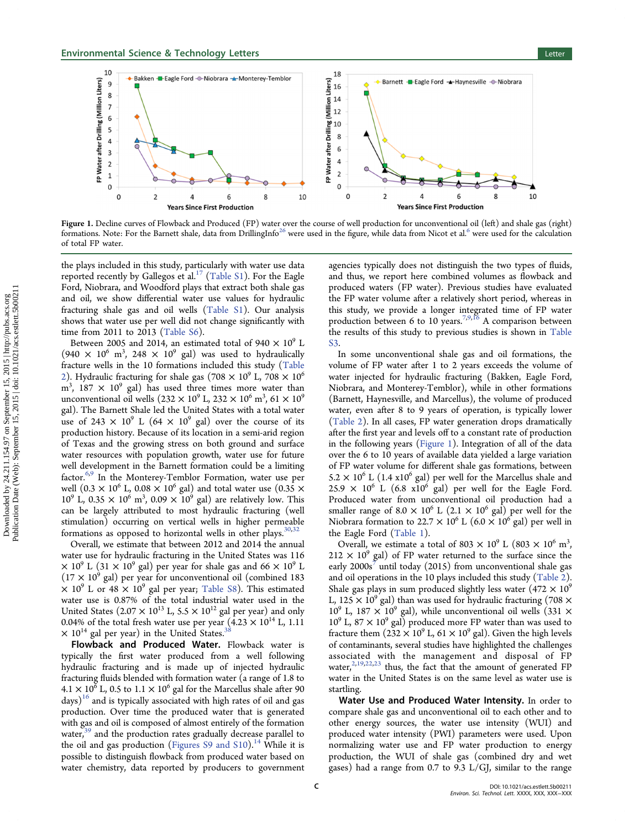

Figure 1. Decline curves of Flowback and Produced (FP) water over the course of well production for unconventional oil (left) and shale gas (right) formations. Note: For the Barnett shale, data from DrillingInfo<sup>[26](#page-4-0)</sup> were used in the figure, while data from Nicot et al.<sup>[6](#page-3-0)</sup> were used for the calculation of total FP water.

the plays included in this study, particularly with water use data reported recently by Gallegos et al.<sup>[17](#page-4-0)</sup> ([Table S1\)](http://pubs.acs.org/doi/suppl/10.1021/acs.estlett.5b00211/suppl_file/ez5b00211_si_001.pdf). For the Eagle Ford, Niobrara, and Woodford plays that extract both shale gas and oil, we show differential water use values for hydraulic fracturing shale gas and oil wells [\(Table S1](http://pubs.acs.org/doi/suppl/10.1021/acs.estlett.5b00211/suppl_file/ez5b00211_si_001.pdf)). Our analysis shows that water use per well did not change significantly with time from 2011 to 2013 ([Table S6\)](http://pubs.acs.org/doi/suppl/10.1021/acs.estlett.5b00211/suppl_file/ez5b00211_si_001.pdf).

Between 2005 and 2014, an estimated total of 940  $\times$  10<sup>9</sup> L  $(940 \times 10^6 \text{ m}^3, 248 \times 10^9 \text{ gal})$  was used to hydraulically fracture wells in the 10 formations included this study ([Table](#page-1-0) [2](#page-1-0)). Hydraulic fracturing for shale gas (708  $\times$  10<sup>9</sup> L, 708  $\times$  10<sup>6</sup>  $\text{m}^3$ , 187  $\times$  10<sup>9</sup> gal) has used three times more water than unconventional oil wells (232  $\times$  10<sup>9</sup> L, 232  $\times$  10<sup>6</sup> m<sup>3</sup>, 61  $\times$  10<sup>9</sup> gal). The Barnett Shale led the United States with a total water use of 243  $\times$  10<sup>9</sup> L (64  $\times$  10<sup>9</sup> gal) over the course of its production history. Because of its location in a semi-arid region of Texas and the growing stress on both ground and surface water resources with population growth, water use for future well development in the Barnett formation could be a limiting factor.<sup>[6,9](#page-3-0)</sup> In the Monterey-Temblor Formation, water use per well (0.3  $\times$  10<sup>6</sup> L, 0.08  $\times$  10<sup>6</sup> gal) and total water use (0.35  $\times$  $10^9$  L, 0.35  $\times$   $10^6$  m<sup>3</sup>, 0.09  $\times$   $10^9$  gal) are relatively low. This can be largely attributed to most hydraulic fracturing (well stimulation) occurring on vertical wells in higher permeable formations as opposed to horizontal wells in other plays.  $30,32$  $30,32$  $30,32$ 

Overall, we estimate that between 2012 and 2014 the annual water use for hydraulic fracturing in the United States was 116  $\times$  10<sup>9</sup> L (31  $\times$  10<sup>9</sup> gal) per year for shale gas and 66  $\times$  10<sup>9</sup> L  $(17 \times 10^9 \text{ gal})$  per year for unconventional oil (combined 183  $\times$  10<sup>9</sup> L or 48  $\times$  10<sup>9</sup> gal per year; [Table S8\)](http://pubs.acs.org/doi/suppl/10.1021/acs.estlett.5b00211/suppl_file/ez5b00211_si_001.pdf). This estimated water use is 0.87% of the total industrial water used in the United States (2.07  $\times$  10<sup>13</sup> L, 5.5  $\times$  10<sup>12</sup> gal per year) and only 0.04% of the total fresh water use per year  $(4.23 \times 10^{14} \text{ L}, 1.11)$  $\times$  10<sup>14</sup> gal per year) in the United States.<sup>[38](#page-4-0)</sup>

Flowback and Produced Water. Flowback water is typically the first water produced from a well following hydraulic fracturing and is made up of injected hydraulic fracturing fluids blended with formation water (a range of 1.8 to  $4.1 \times 10^6$  L, 0.5 to  $1.1 \times 10^6$  gal for the Marcellus shale after 90  $\text{days}$ <sup>[16](#page-4-0)</sup> and is typically associated with high rates of oil and gas production. Over time the produced water that is generated with gas and oil is composed of almost entirely of the formation water,<sup>[39](#page-4-0)</sup> and the production rates gradually decrease parallel to the oil and gas production ([Figures S9 and S10](http://pubs.acs.org/doi/suppl/10.1021/acs.estlett.5b00211/suppl_file/ez5b00211_si_001.pdf)).<sup>[14](#page-3-0)</sup> While it is possible to distinguish flowback from produced water based on water chemistry, data reported by producers to government

agencies typically does not distinguish the two types of fluids, and thus, we report here combined volumes as flowback and produced waters (FP water). Previous studies have evaluated the FP water volume after a relatively short period, whereas in this study, we provide a longer integrated time of FP water production between 6 to 10 years.<sup>[7,9](#page-3-0)[,16](#page-4-0)</sup> A comparison between the results of this study to previous studies is shown in [Table](http://pubs.acs.org/doi/suppl/10.1021/acs.estlett.5b00211/suppl_file/ez5b00211_si_001.pdf) [S3.](http://pubs.acs.org/doi/suppl/10.1021/acs.estlett.5b00211/suppl_file/ez5b00211_si_001.pdf)

In some unconventional shale gas and oil formations, the volume of FP water after 1 to 2 years exceeds the volume of water injected for hydraulic fracturing (Bakken, Eagle Ford, Niobrara, and Monterey-Temblor), while in other formations (Barnett, Haynesville, and Marcellus), the volume of produced water, even after 8 to 9 years of operation, is typically lower [\(Table 2\)](#page-1-0). In all cases, FP water generation drops dramatically after the first year and levels off to a constant rate of production in the following years (Figure 1). Integration of all of the data over the 6 to 10 years of available data yielded a large variation of FP water volume for different shale gas formations, between  $5.2 \times 10^6$  L (1.4 x10<sup>6</sup> gal) per well for the Marcellus shale and  $25.9 \times 10^6$  L (6.8 x10<sup>6</sup> gal) per well for the Eagle Ford. Produced water from unconventional oil production had a smaller range of 8.0  $\times$  10<sup>6</sup> L (2.1  $\times$  10<sup>6</sup> gal) per well for the Niobrara formation to 22.7  $\times$  10<sup>6</sup> L (6.0  $\times$  10<sup>6</sup> gal) per well in the Eagle Ford [\(Table 1\)](#page-1-0).

Overall, we estimate a total of 803  $\times$  10<sup>9</sup> L (803  $\times$  10<sup>6</sup> m<sup>3</sup>, ,  $212 \times 10^9$  gal) of FP water returned to the surface since the early  $2000s<sup>7</sup>$  $2000s<sup>7</sup>$  $2000s<sup>7</sup>$  until today (2015) from unconventional shale gas and oil operations in the 10 plays included this study ([Table 2\)](#page-1-0). Shale gas plays in sum produced slightly less water  $(472 \times 10^9)$ L, 125  $\times$  10<sup>9</sup> gal) than was used for hydraulic fracturing (708  $\times$  $10^9$  L,  $187 \times 10^9$  gal), while unconventional oil wells (331  $\times$  $10^9$  L, 87  $\times$  10<sup>9</sup> gal) produced more FP water than was used to fracture them  $(232 \times 10^9 \text{ L}, 61 \times 10^9 \text{ gal})$ . Given the high levels of contaminants, several studies have highlighted the challenges associated with the management and disposal of FP water, $2,19,22,23$  $2,19,22,23$  $2,19,22,23$  $2,19,22,23$  thus, the fact that the amount of generated FP water in the United States is on the same level as water use is startling.

Water Use and Produced Water Intensity. In order to compare shale gas and unconventional oil to each other and to other energy sources, the water use intensity (WUI) and produced water intensity (PWI) parameters were used. Upon normalizing water use and FP water production to energy production, the WUI of shale gas (combined dry and wet gases) had a range from 0.7 to 9.3 L/GJ, similar to the range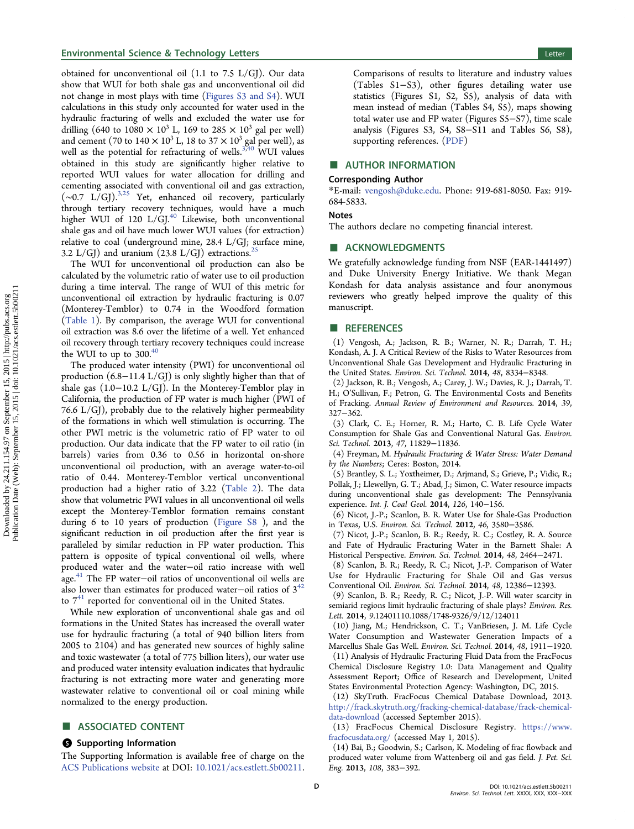<span id="page-3-0"></span>obtained for unconventional oil (1.1 to 7.5 L/GJ). Our data show that WUI for both shale gas and unconventional oil did not change in most plays with time [\(Figures S3 and S4\)](http://pubs.acs.org/doi/suppl/10.1021/acs.estlett.5b00211/suppl_file/ez5b00211_si_001.pdf). WUI calculations in this study only accounted for water used in the hydraulic fracturing of wells and excluded the water use for drilling (640 to 1080  $\times$  10<sup>3</sup> L, 169 to 285  $\times$  10<sup>3</sup> gal per well) and cement (70 to  $140 \times 10^3$  L, 18 to  $37 \times 10^3$  gal per well), as well as the potential for refracturing of wells. $3,40$  $3,40$  WUI values obtained in this study are significantly higher relative to reported WUI values for water allocation for drilling and cementing associated with conventional oil and gas extraction, (∼0.7 L/GJ).3,[25](#page-4-0) Yet, enhanced oil recovery, particularly through tertiary recovery techniques, would have a much higher WUI of 120 L/GJ.<sup>[40](#page-4-0)</sup> Likewise, both unconventional shale gas and oil have much lower WUI values (for extraction) relative to coal (underground mine, 28.4 L/GJ; surface mine, 3.2 L/GJ) and uranium  $(23.8 \text{ L/GJ})$  extractions.<sup>[25](#page-4-0)</sup>

The WUI for unconventional oil production can also be calculated by the volumetric ratio of water use to oil production during a time interval. The range of WUI of this metric for unconventional oil extraction by hydraulic fracturing is 0.07 (Monterey-Temblor) to 0.74 in the Woodford formation [\(Table 1](#page-1-0)). By comparison, the average WUI for conventional oil extraction was 8.6 over the lifetime of a well. Yet enhanced oil recovery through tertiary recovery techniques could increase the WUI to up to 300.<sup>[40](#page-4-0)</sup>

The produced water intensity (PWI) for unconventional oil production (6.8−11.4 L/GJ) is only slightly higher than that of shale gas (1.0−10.2 L/GJ). In the Monterey-Temblor play in California, the production of FP water is much higher (PWI of 76.6  $L/GJ$ ), probably due to the relatively higher permeability of the formations in which well stimulation is occurring. The other PWI metric is the volumetric ratio of FP water to oil production. Our data indicate that the FP water to oil ratio (in barrels) varies from 0.36 to 0.56 in horizontal on-shore unconventional oil production, with an average water-to-oil ratio of 0.44. Monterey-Temblor vertical unconventional production had a higher ratio of 3.22 ([Table 2\)](#page-1-0). The data show that volumetric PWI values in all unconventional oil wells except the Monterey-Temblor formation remains constant during 6 to 10 years of production ([Figure S8](http://pubs.acs.org/doi/suppl/10.1021/acs.estlett.5b00211/suppl_file/ez5b00211_si_001.pdf) ), and the significant reduction in oil production after the first year is paralleled by similar reduction in FP water production. This pattern is opposite of typical conventional oil wells, where produced water and the water−oil ratio increase with well age.[41](#page-4-0) The FP water−oil ratios of unconventional oil wells are also lower than estimates for produced water-oil ratios of  $3^{42}$  $3^{42}$  $3^{42}$ to  $7^{41}$  $7^{41}$  $7^{41}$  reported for conventional oil in the United States.

While new exploration of unconventional shale gas and oil formations in the United States has increased the overall water use for hydraulic fracturing (a total of 940 billion liters from 2005 to 2104) and has generated new sources of highly saline and toxic wastewater (a total of 775 billion liters), our water use and produced water intensity evaluation indicates that hydraulic fracturing is not extracting more water and generating more wastewater relative to conventional oil or coal mining while normalized to the energy production.

## ASSOCIATED CONTENT

#### **S** Supporting Information

The Supporting Information is available free of charge on the [ACS Publications website](http://pubs.acs.org) at DOI: [10.1021/acs.estlett.5b00211](http://pubs.acs.org/doi/abs/10.1021/acs.estlett.5b00211).

Comparisons of results to literature and industry values (Tables S1−S3), other figures detailing water use statistics (Figures S1, S2, S5), analysis of data with mean instead of median (Tables S4, S5), maps showing total water use and FP water (Figures S5−S7), time scale analysis (Figures S3, S4, S8−S11 and Tables S6, S8), supporting references. ([PDF\)](http://pubs.acs.org/doi/suppl/10.1021/acs.estlett.5b00211/suppl_file/ez5b00211_si_001.pdf)

## ■ AUTHOR INFORMATION

#### Corresponding Author

\*E-mail: [vengosh@duke.edu.](mailto:vengosh@duke.edu) Phone: 919-681-8050. Fax: 919- 684-5833.

### Notes

The authors declare no competing financial interest.

### **ACKNOWLEDGMENTS**

We gratefully acknowledge funding from NSF (EAR-1441497) and Duke University Energy Initiative. We thank Megan Kondash for data analysis assistance and four anonymous reviewers who greatly helped improve the quality of this manuscript.

## ■ REFERENCES

(1) Vengosh, A.; Jackson, R. B.; Warner, N. R.; Darrah, T. H.; Kondash, A. J. A Critical Review of the Risks to Water Resources from Unconventional Shale Gas Development and Hydraulic Fracturing in the United States. Environ. Sci. Technol. 2014, 48, 8334−8348.

(2) Jackson, R. B.; Vengosh, A.; Carey, J. W.; Davies, R. J.; Darrah, T. H.; O'Sullivan, F.; Petron, G. The Environmental Costs and Benefits of Fracking. Annual Review of Environment and Resources. 2014, 39, 327−362.

(3) Clark, C. E.; Horner, R. M.; Harto, C. B. Life Cycle Water Consumption for Shale Gas and Conventional Natural Gas. Environ. Sci. Technol. 2013, 47, 11829−11836.

(4) Freyman, M. Hydraulic Fracturing & Water Stress: Water Demand by the Numbers; Ceres: Boston, 2014.

(5) Brantley, S. L.; Yoxtheimer, D.; Arjmand, S.; Grieve, P.; Vidic, R.; Pollak, J.; Llewellyn, G. T.; Abad, J.; Simon, C. Water resource impacts during unconventional shale gas development: The Pennsylvania experience. Int. J. Coal Geol. 2014, 126, 140−156.

(6) Nicot, J.-P.; Scanlon, B. R. Water Use for Shale-Gas Production in Texas, U.S. Environ. Sci. Technol. 2012, 46, 3580−3586.

(7) Nicot, J.-P.; Scanlon, B. R.; Reedy, R. C.; Costley, R. A. Source and Fate of Hydraulic Fracturing Water in the Barnett Shale: A Historical Perspective. Environ. Sci. Technol. 2014, 48, 2464−2471.

(8) Scanlon, B. R.; Reedy, R. C.; Nicot, J.-P. Comparison of Water Use for Hydraulic Fracturing for Shale Oil and Gas versus Conventional Oil. Environ. Sci. Technol. 2014, 48, 12386−12393.

(9) Scanlon, B. R.; Reedy, R. C.; Nicot, J.-P. Will water scarcity in semiarid regions limit hydraulic fracturing of shale plays? Environ. Res. Lett. 2014, 9.12401110.1088/1748-9326/9/12/124011

(10) Jiang, M.; Hendrickson, C. T.; VanBriesen, J. M. Life Cycle Water Consumption and Wastewater Generation Impacts of a Marcellus Shale Gas Well. Environ. Sci. Technol. 2014, 48, 1911−1920.

(11) Analysis of Hydraulic Fracturing Fluid Data from the FracFocus Chemical Disclosure Registry 1.0: Data Management and Quality Assessment Report; Office of Research and Development, United States Environmental Protection Agency: Washington, DC, 2015.

(12) SkyTruth. FracFocus Chemical Database Download, 2013. [http://frack.skytruth.org/fracking-chemical-database/frack-chemical](http://frack.skytruth.org/fracking-chemical-database/frack-chemical-data-download)[data-download](http://frack.skytruth.org/fracking-chemical-database/frack-chemical-data-download) (accessed September 2015).

(13) FracFocus Chemical Disclosure Registry. [https://www.](https://www.fracfocusdata.org/) [fracfocusdata.org/](https://www.fracfocusdata.org/) (accessed May 1, 2015).

(14) Bai, B.; Goodwin, S.; Carlson, K. Modeling of frac flowback and produced water volume from Wattenberg oil and gas field. J. Pet. Sci. Eng. 2013, 108, 383−392.